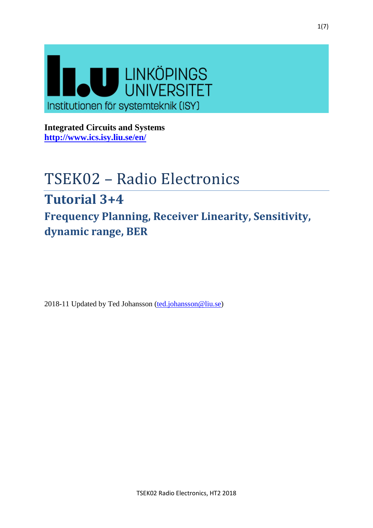

**Integrated Circuits and Systems <http://www.ics.isy.liu.se/en/>**

# TSEK02 – Radio Electronics

# **Tutorial 3+4**

**Frequency Planning, Receiver Linearity, Sensitivity, dynamic range, BER**

2018-11 Updated by Ted Johansson [\(ted.johansson@liu.se\)](mailto:ted.johansson@liu.se)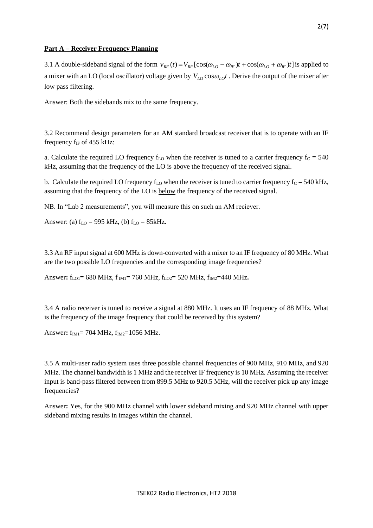# **Part A – Receiver Frequency Planning**

3.1 A double-sideband signal of the form  $v_{RF}(t) = V_{RF} [\cos(\omega_{LO} - \omega_{IF})t + \cos(\omega_{LO} + \omega_{IF})t]$  is applied to a mixer with an LO (local oscillator) voltage given by  $V_{LO}\cos\omega_{LO}t$ . Derive the output of the mixer after low pass filtering.

Answer: Both the sidebands mix to the same frequency.

3.2 Recommend design parameters for an AM standard broadcast receiver that is to operate with an IF frequency  $f_{IF}$  of 455 kHz:

a. Calculate the required LO frequency  $f_{LO}$  when the receiver is tuned to a carrier frequency  $f_C = 540$ kHz, assuming that the frequency of the LO is above the frequency of the received signal.

b. Calculate the required LO frequency  $f_{\text{LO}}$  when the receiver is tuned to carrier frequency  $f_C = 540 \text{ kHz}$ , assuming that the frequency of the LO is below the frequency of the received signal.

NB. In "Lab 2 measurements", you will measure this on such an AM reciever.

Answer: (a)  $f_{LO} = 995$  kHz, (b)  $f_{LO} = 85$ kHz.

3.3 An RF input signal at 600 MHz is down-converted with a mixer to an IF frequency of 80 MHz. What are the two possible LO frequencies and the corresponding image frequencies?

Answer:  $f_{\text{LO1}}$  = 680 MHz,  $f_{\text{IM1}}$  = 760 MHz,  $f_{\text{LO2}}$  = 520 MHz,  $f_{\text{IM2}}$  = 440 MHz.

3.4 A radio receiver is tuned to receive a signal at 880 MHz. It uses an IF frequency of 88 MHz. What is the frequency of the image frequency that could be received by this system?

Answer**:** f<sub>IM1</sub>= 704 MHz, f<sub>IM2</sub>=1056 MHz.

3.5 A multi-user radio system uses three possible channel frequencies of 900 MHz, 910 MHz, and 920 MHz. The channel bandwidth is 1 MHz and the receiver IF frequency is 10 MHz. Assuming the receiver input is band-pass filtered between from 899.5 MHz to 920.5 MHz, will the receiver pick up any image frequencies?

Answer**:** Yes, for the 900 MHz channel with lower sideband mixing and 920 MHz channel with upper sideband mixing results in images within the channel.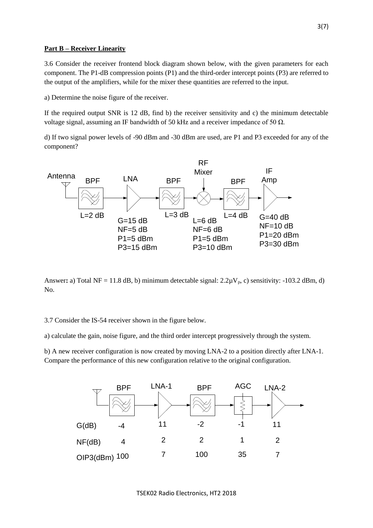# **Part B – Receiver Linearity**

3.6 Consider the receiver frontend block diagram shown below, with the given parameters for each component. The P1-dB compression points (P1) and the third-order intercept points (P3) are referred to the output of the amplifiers, while for the mixer these quantities are referred to the input.

a) Determine the noise figure of the receiver.

If the required output SNR is 12 dB, find b) the receiver sensitivity and c) the minimum detectable voltage signal, assuming an IF bandwidth of 50 kHz and a receiver impedance of 50  $Ω$ .

d) If two signal power levels of -90 dBm and -30 dBm are used, are P1 and P3 exceeded for any of the component?



Answer: a) Total NF = 11.8 dB, b) minimum detectable signal:  $2.2\mu V_p$ , c) sensitivity: -103.2 dBm, d) No.

3.7 Consider the IS-54 receiver shown in the figure below.

a) calculate the gain, noise figure, and the third order intercept progressively through the system.

b) A new receiver configuration is now created by moving LNA-2 to a position directly after LNA-1. Compare the performance of this new configuration relative to the original configuration.

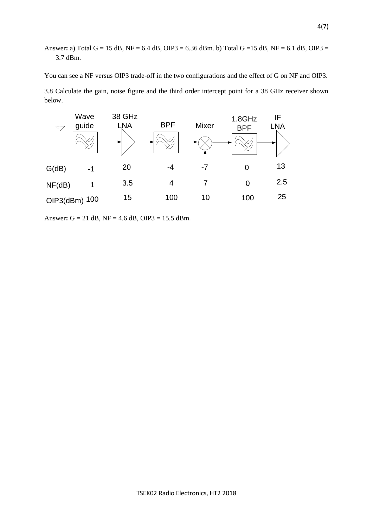# Answer**:** a) Total G = 15 dB, NF = 6.4 dB, OIP3 = 6.36 dBm. b) Total G =15 dB, NF = 6.1 dB, OIP3 = 3.7 dBm.

You can see a NF versus OIP3 trade-off in the two configurations and the effect of G on NF and OIP3.

3.8 Calculate the gain, noise figure and the third order intercept point for a 38 GHz receiver shown below.



Answer**:** G **=** 21 dB, NF = 4.6 dB, OIP3 = 15.5 dBm.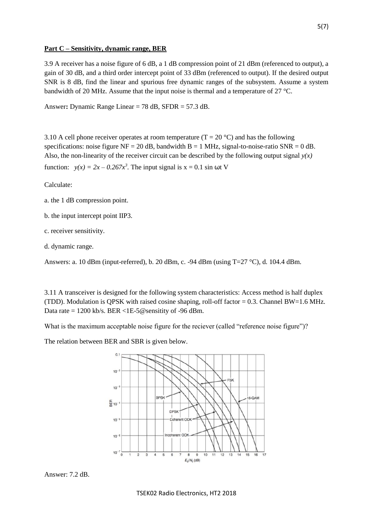# **Part C – Sensitivity, dynamic range, BER**

3.9 A receiver has a noise figure of 6 dB, a 1 dB compression point of 21 dBm (referenced to output), a gain of 30 dB, and a third order intercept point of 33 dBm (referenced to output). If the desired output SNR is 8 dB, find the linear and spurious free dynamic ranges of the subsystem. Assume a system bandwidth of 20 MHz. Assume that the input noise is thermal and a temperature of 27 °C.

Answer**:** Dynamic Range Linear = 78 dB, SFDR = 57.3 dB.

3.10 A cell phone receiver operates at room temperature ( $T = 20$  °C) and has the following specifications: noise figure  $NF = 20$  dB, bandwidth  $B = 1$  MHz, signal-to-noise-ratio  $SNR = 0$  dB. Also, the non-linearity of the receiver circuit can be described by the following output signal *y(x)* function:  $y(x) = 2x - 0.267x^3$ . The input signal is  $x = 0.1$  sin  $\omega t$  V

Calculate:

- a. the 1 dB compression point.
- b. the input intercept point IIP3.
- c. receiver sensitivity.
- d. dynamic range.

Answers: a. 10 dBm (input-referred), b. 20 dBm, c. -94 dBm (using T=27 °C), d. 104.4 dBm.

3.11 A transceiver is designed for the following system characteristics: Access method is half duplex (TDD). Modulation is QPSK with raised cosine shaping, roll-off factor = 0.3. Channel BW=1.6 MHz. Data rate = 1200 kb/s. BER <1E-5@sensitity of -96 dBm.

What is the maximum acceptable noise figure for the reciever (called "reference noise figure")?

The relation between BER and SBR is given below.



Answer: 7.2 dB.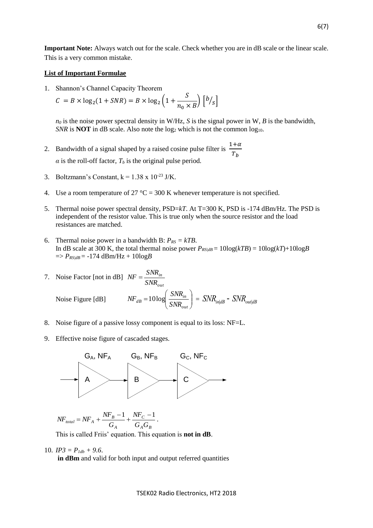**Important Note:** Always watch out for the scale. Check whether you are in dB scale or the linear scale. This is a very common mistake.

#### **List of Important Formulae**

1. Shannon's Channel Capacity Theorem

$$
C = B \times \log_2(1 + SNR) = B \times \log_2\left(1 + \frac{S}{n_0 \times B}\right) \left[\frac{b}{s}\right]
$$

 $n_0$  is the noise power spectral density in W/Hz, *S* is the signal power in W, *B* is the bandwidth, *SNR* is **NOT** in dB scale. Also note the  $log_2$  which is not the common  $log_{10}$ .

2. Bandwidth of a signal shaped by a raised cosine pulse filter is  $\frac{1+\alpha}{\pi}$  $T_b$  $\alpha$  is the roll-off factor,  $T_b$  is the original pulse period.

- 3. Boltzmann's Constant,  $k = 1.38 \times 10^{-23}$  J/K.
- 4. Use a room temperature of 27  $^{\circ}C = 300$  K whenever temperature is not specified.
- 5. Thermal noise power spectral density, PSD=*kT*. At T=300 K, PSD is -174 dBm/Hz. The PSD is independent of the resistor value. This is true only when the source resistor and the load resistances are matched.
- 6. Thermal noise power in a bandwidth B:  $P_{RS} = kTB$ . In dB scale at 300 K, the total thermal noise power  $P_{RS/dB} = 10\log(kTB) = 10\log(kT) + 10\log(B)$  $\Rightarrow$  *P<sub>RS|dB</sub>* = -174 dBm/Hz + 10log*B*

7. Noise Factor [not in dB] 
$$
NF = \frac{SNR_{in}}{SNR_{out}}
$$
  
Noise Figure [dB]  $NF_{dB} = 10 \log \left( \frac{SNR_{in}}{SNR_{out}} \right) = SNR_{in|dB} - SNR_{out|dB}$ 

- 8. Noise figure of a passive lossy component is equal to its loss: NF=L.
- 9. Effective noise figure of cascaded stages.



$$
N\!F_{total} = N\!F_A + \frac{N\!F_B - 1}{G_A} + \frac{N\!F_C - 1}{G_A G_B} \, .
$$

This is called Friis' equation. This equation is **not in dB**.

# 10.  $IP3 = P_{1db} + 9.6$ .

**in dBm** and valid for both input and output referred quantities